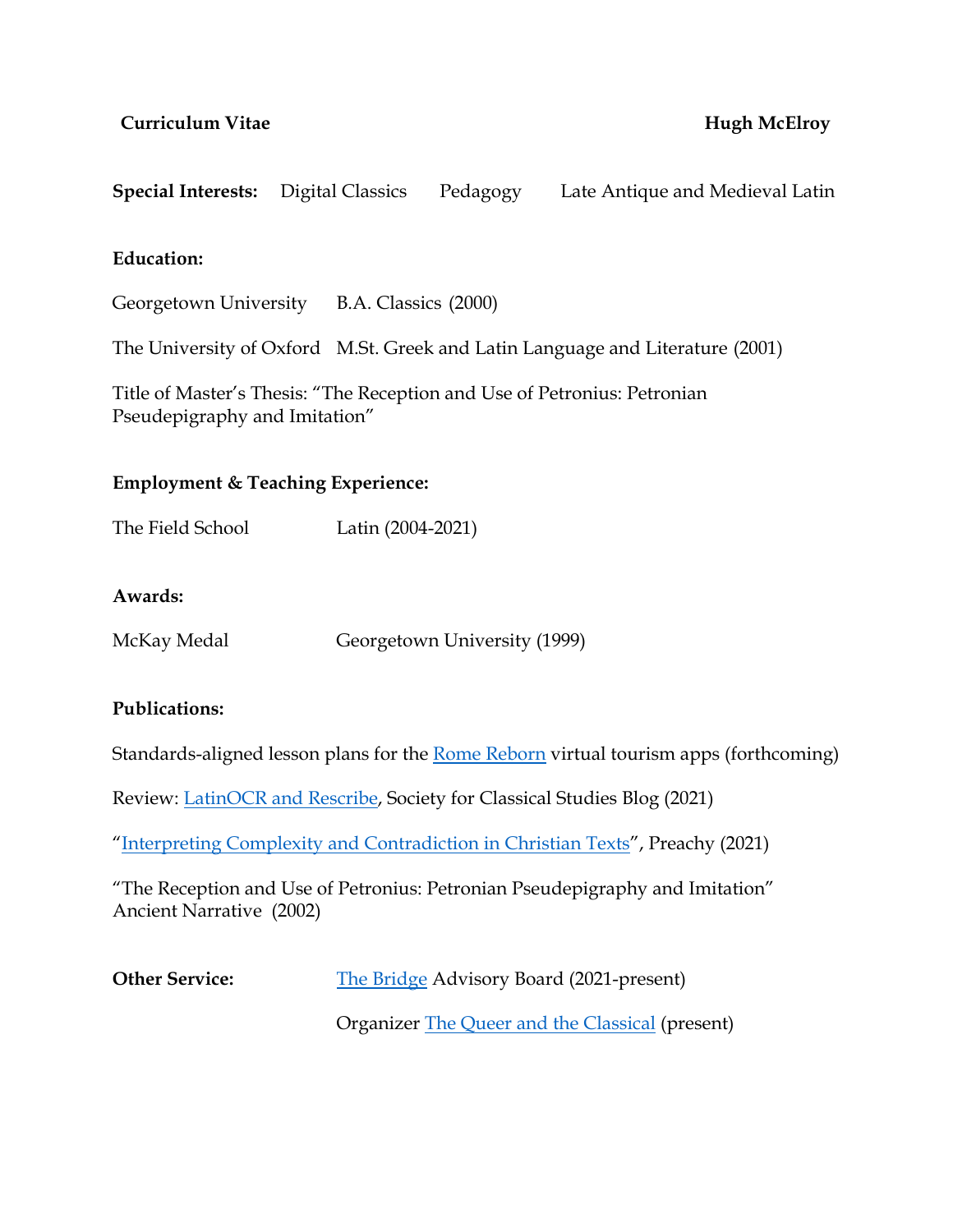## **Curriculum Vitae Hugh McElroy**

**Special Interests:** Digital Classics Pedagogy Late Antique and Medieval Latin

## **Education:**

Georgetown University B.A. Classics (2000)

The University of Oxford M.St. Greek and Latin Language and Literature (2001)

Title of Master's Thesis: "The Reception and Use of Petronius: Petronian Pseudepigraphy and Imitation"

# **Employment & Teaching Experience:**

The Field School Latin (2004-2021)

#### **Awards:**

| McKay Medal | Georgetown University (1999) |  |
|-------------|------------------------------|--|
|             |                              |  |

#### **Publications:**

Standards-aligned lesson plans for the Rome Reborn virtual tourism apps (forthcoming)

Review: LatinOCR and Rescribe, Society for Classical Studies Blog (2021)

"Interpreting Complexity and Contradiction in Christian Texts", Preachy (2021)

"The Reception and Use of Petronius: Petronian Pseudepigraphy and Imitation" Ancient Narrative (2002)

**Other Service:** The Bridge Advisory Board (2021-present)

Organizer The Queer and the Classical (present)